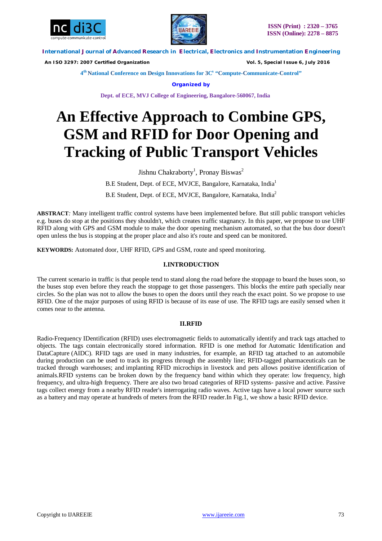



 *An ISO 3297: 2007 Certified Organization Vol. 5, Special Issue 6, July 2016*

**4 th National Conference on Design Innovations for 3C s "Compute-Communicate-Control"** 

**Organized by**

**Dept. of ECE, MVJ College of Engineering, Bangalore-560067, India**

# **An Effective Approach to Combine GPS, GSM and RFID for Door Opening and Tracking of Public Transport Vehicles**

Jishnu Chakraborty<sup>1</sup>, Pronay Biswas<sup>2</sup>

B.E Student, Dept. of ECE, MVJCE, Bangalore, Karnataka, India<sup>1</sup>

B.E Student, Dept. of ECE, MVJCE, Bangalore, Karnataka, India<sup>2</sup>

**ABSTRACT***:* Many intelligent traffic control systems have been implemented before. But still public transport vehicles e.g. buses do stop at the positions they shouldn't, which creates traffic stagnancy. In this paper, we propose to use UHF RFID along with GPS and GSM module to make the door opening mechanism automated, so that the bus door doesn't open unless the bus is stopping at the proper place and also it's route and speed can be monitored.

**KEYWORDS:** Automated door, UHF RFID, GPS and GSM, route and speed monitoring.

## **I.INTRODUCTION**

The current scenario in traffic is that people tend to stand along the road before the stoppage to board the buses soon, so the buses stop even before they reach the stoppage to get those passengers. This blocks the entire path specially near circles. So the plan was not to allow the buses to open the doors until they reach the exact point. So we propose to use RFID. One of the major purposes of using RFID is because of its ease of use. The RFID tags are easily sensed when it comes near to the antenna.

#### **II.RFID**

Radio-Frequency IDentification (RFID) uses electromagnetic fields to automatically identify and track tags attached to objects. The tags contain electronically stored information. RFID is one method for Automatic Identification and DataCapture (AIDC). RFID tags are used in many industries, for example, an RFID tag attached to an automobile during production can be used to track its progress through the assembly line; RFID-tagged pharmaceuticals can be tracked through warehouses; and implanting RFID microchips in livestock and pets allows positive identification of animals.RFID systems can be broken down by the frequency band within which they operate: low frequency, high frequency, and ultra-high frequency. There are also two broad categories of RFID systems- passive and active. Passive tags collect energy from a nearby RFID reader's interrogating radio waves. Active tags have a local power source such as a battery and may operate at hundreds of meters from the RFID reader. In Fig.1, we show a basic RFID device.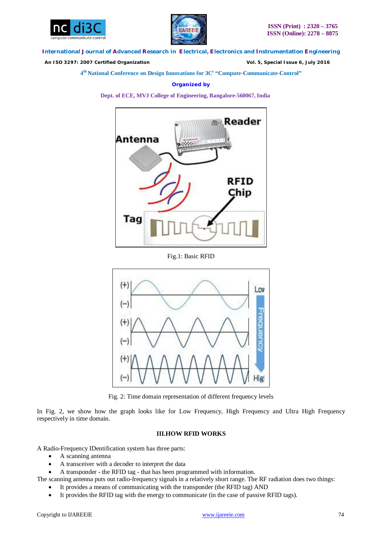



 *An ISO 3297: 2007 Certified Organization Vol. 5, Special Issue 6, July 2016*

**4 th National Conference on Design Innovations for 3C s "Compute-Communicate-Control"** 

**Organized by**

**Dept. of ECE, MVJ College of Engineering, Bangalore-560067, India**



Fig.1: Basic RFID



Fig. 2: Time domain representation of different frequency levels

In Fig. 2, we show how the graph looks like for Low Frequency, High Frequency and Ultra High Frequency respectively in time domain.

## **III.HOW RFID WORKS**

A Radio-Frequency IDentification system has three parts:

- A scanning antenna
- A transceiver with a decoder to interpret the data
- A transponder the RFID tag that has been programmed with information.

The scanning antenna puts out radio-frequency signals in a relatively short range. The RF radiation does two things:

- It provides a means of communicating with the transponder (the RFID tag) AND
- It provides the RFID tag with the energy to communicate (in the case of passive RFID tags).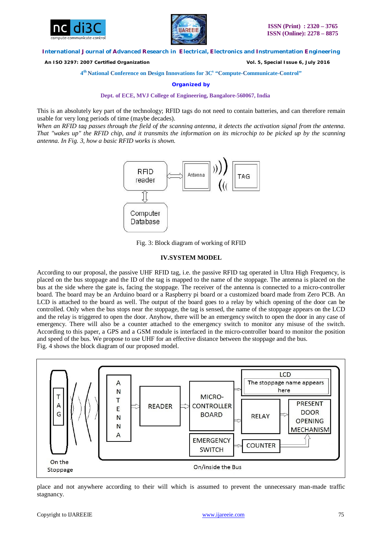



 *An ISO 3297: 2007 Certified Organization Vol. 5, Special Issue 6, July 2016*

**4 th National Conference on Design Innovations for 3C s "Compute-Communicate-Control"** 

**Organized by**

**Dept. of ECE, MVJ College of Engineering, Bangalore-560067, India**

This is an absolutely key part of the technology; RFID tags do not need to contain batteries, and can therefore remain usable for very long periods of time (maybe decades).

*When an RFID tag passes through the field of the scanning antenna, it detects the activation signal from the antenna. That "wakes up" the RFID chip, and it transmits the information on its microchip to be picked up by the scanning antenna. In Fig. 3, how a basic RFID works is shown.*



Fig. 3: Block diagram of working of RFID

## **IV.SYSTEM MODEL**

According to our proposal, the passive UHF RFID tag, i.e. the passive RFID tag operated in Ultra High Frequency, is placed on the bus stoppage and the ID of the tag is mapped to the name of the stoppage. The antenna is placed on the bus at the side where the gate is, facing the stoppage. The receiver of the antenna is connected to a micro-controller board. The board may be an Arduino board or a Raspberry pi board or a customized board made from Zero PCB. An LCD is attached to the board as well. The output of the board goes to a relay by which opening of the door can be controlled. Only when the bus stops near the stoppage, the tag is sensed, the name of the stoppage appears on the LCD and the relay is triggered to open the door. Anyhow, there will be an emergency switch to open the door in any case of emergency. There will also be a counter attached to the emergency switch to monitor any misuse of the switch. According to this paper, a GPS and a GSM module is interfaced in the micro-controller board to monitor the position and speed of the bus. We propose to use UHF for an effective distance between the stoppage and the bus. Fig. 4 shows the block diagram of our proposed model.



place and not anywhere according to their will which is assumed to prevent the unnecessary man-made traffic stagnancy.